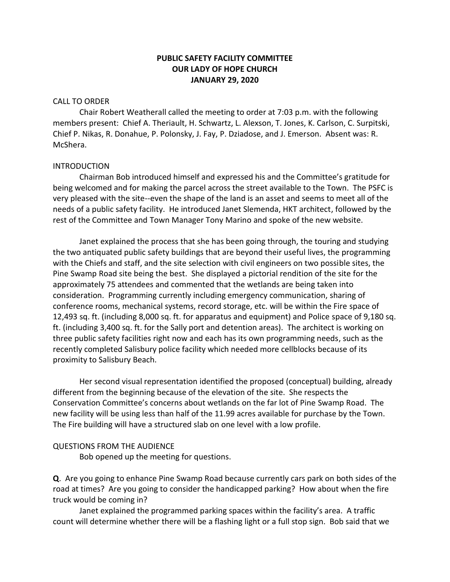### **PUBLIC SAFETY FACILITY COMMITTEE OUR LADY OF HOPE CHURCH JANUARY 29, 2020**

#### CALL TO ORDER

Chair Robert Weatherall called the meeting to order at 7:03 p.m. with the following members present: Chief A. Theriault, H. Schwartz, L. Alexson, T. Jones, K. Carlson, C. Surpitski, Chief P. Nikas, R. Donahue, P. Polonsky, J. Fay, P. Dziadose, and J. Emerson. Absent was: R. McShera.

#### INTRODUCTION

Chairman Bob introduced himself and expressed his and the Committee's gratitude for being welcomed and for making the parcel across the street available to the Town. The PSFC is very pleased with the site--even the shape of the land is an asset and seems to meet all of the needs of a public safety facility. He introduced Janet Slemenda, HKT architect, followed by the rest of the Committee and Town Manager Tony Marino and spoke of the new website.

Janet explained the process that she has been going through, the touring and studying the two antiquated public safety buildings that are beyond their useful lives, the programming with the Chiefs and staff, and the site selection with civil engineers on two possible sites, the Pine Swamp Road site being the best. She displayed a pictorial rendition of the site for the approximately 75 attendees and commented that the wetlands are being taken into consideration. Programming currently including emergency communication, sharing of conference rooms, mechanical systems, record storage, etc. will be within the Fire space of 12,493 sq. ft. (including 8,000 sq. ft. for apparatus and equipment) and Police space of 9,180 sq. ft. (including 3,400 sq. ft. for the Sally port and detention areas). The architect is working on three public safety facilities right now and each has its own programming needs, such as the recently completed Salisbury police facility which needed more cellblocks because of its proximity to Salisbury Beach.

Her second visual representation identified the proposed (conceptual) building, already different from the beginning because of the elevation of the site. She respects the Conservation Committee's concerns about wetlands on the far lot of Pine Swamp Road. The new facility will be using less than half of the 11.99 acres available for purchase by the Town. The Fire building will have a structured slab on one level with a low profile.

#### QUESTIONS FROM THE AUDIENCE

Bob opened up the meeting for questions.

**Q**. Are you going to enhance Pine Swamp Road because currently cars park on both sides of the road at times? Are you going to consider the handicapped parking? How about when the fire truck would be coming in?

Janet explained the programmed parking spaces within the facility's area. A traffic count will determine whether there will be a flashing light or a full stop sign. Bob said that we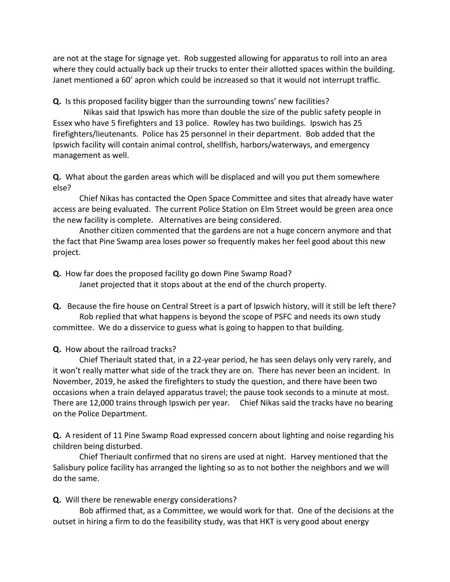are not at the stage for signage yet. Rob suggested allowing for apparatus to roll into an area where they could actually back up their trucks to enter their allotted spaces within the building. Janet mentioned a 60' apron which could be increased so that it would not interrupt traffic.

**Q.** Is this proposed facility bigger than the surrounding towns' new facilities?

 Nikas said that Ipswich has more than double the size of the public safety people in Essex who have 5 firefighters and 13 police. Rowley has two buildings. Ipswich has 25 firefighters/lieutenants. Police has 25 personnel in their department. Bob added that the Ipswich facility will contain animal control, shellfish, harbors/waterways, and emergency management as well.

**Q.** What about the garden areas which will be displaced and will you put them somewhere else?

Chief Nikas has contacted the Open Space Committee and sites that already have water access are being evaluated. The current Police Station on Elm Street would be green area once the new facility is complete. Alternatives are being considered.

Another citizen commented that the gardens are not a huge concern anymore and that the fact that Pine Swamp area loses power so frequently makes her feel good about this new project.

**Q.** How far does the proposed facility go down Pine Swamp Road? Janet projected that it stops about at the end of the church property.

**Q.** Because the fire house on Central Street is a part of Ipswich history, will it still be left there? Rob replied that what happens is beyond the scope of PSFC and needs its own study committee. We do a disservice to guess what is going to happen to that building.

## **Q.** How about the railroad tracks?

Chief Theriault stated that, in a 22-year period, he has seen delays only very rarely, and it won't really matter what side of the track they are on. There has never been an incident. In November, 2019, he asked the firefighters to study the question, and there have been two occasions when a train delayed apparatus travel; the pause took seconds to a minute at most. There are 12,000 trains through Ipswich per year. Chief Nikas said the tracks have no bearing on the Police Department.

**Q.** A resident of 11 Pine Swamp Road expressed concern about lighting and noise regarding his children being disturbed.

Chief Theriault confirmed that no sirens are used at night. Harvey mentioned that the Salisbury police facility has arranged the lighting so as to not bother the neighbors and we will do the same.

**Q.** Will there be renewable energy considerations?

Bob affirmed that, as a Committee, we would work for that. One of the decisions at the outset in hiring a firm to do the feasibility study, was that HKT is very good about energy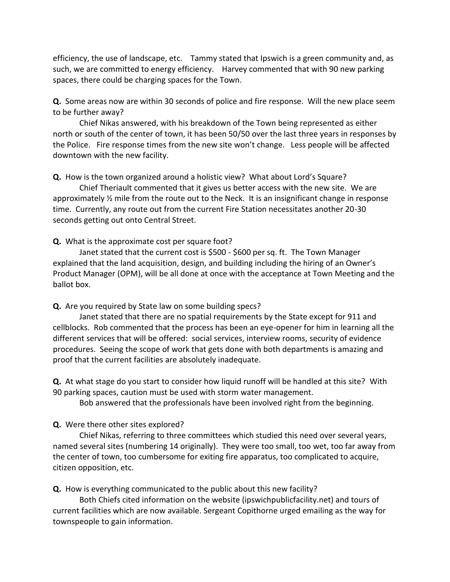efficiency, the use of landscape, etc. Tammy stated that Ipswich is a green community and, as such, we are committed to energy efficiency. Harvey commented that with 90 new parking spaces, there could be charging spaces for the Town.

**Q.** Some areas now are within 30 seconds of police and fire response. Will the new place seem to be further away?

Chief Nikas answered, with his breakdown of the Town being represented as either north or south of the center of town, it has been 50/50 over the last three years in responses by the Police. Fire response times from the new site won't change. Less people will be affected downtown with the new facility.

**Q.** How is the town organized around a holistic view? What about Lord's Square?

Chief Theriault commented that it gives us better access with the new site. We are approximately  $\frac{1}{2}$  mile from the route out to the Neck. It is an insignificant change in response time. Currently, any route out from the current Fire Station necessitates another 20-30 seconds getting out onto Central Street.

**Q.** What is the approximate cost per square foot?

Janet stated that the current cost is \$500 - \$600 per sq. ft. The Town Manager explained that the land acquisition, design, and building including the hiring of an Owner's Product Manager (OPM), will be all done at once with the acceptance at Town Meeting and the ballot box.

**Q.** Are you required by State law on some building specs?

Janet stated that there are no spatial requirements by the State except for 911 and cellblocks. Rob commented that the process has been an eye-opener for him in learning all the different services that will be offered: social services, interview rooms, security of evidence procedures. Seeing the scope of work that gets done with both departments is amazing and proof that the current facilities are absolutely inadequate.

**Q.** At what stage do you start to consider how liquid runoff will be handled at this site? With 90 parking spaces, caution must be used with storm water management.

Bob answered that the professionals have been involved right from the beginning.

**Q.** Were there other sites explored?

Chief Nikas, referring to three committees which studied this need over several years, named several sites (numbering 14 originally). They were too small, too wet, too far away from the center of town, too cumbersome for exiting fire apparatus, too complicated to acquire, citizen opposition, etc.

**Q.** How is everything communicated to the public about this new facility?

Both Chiefs cited information on the website (ipswichpublicfacility.net) and tours of current facilities which are now available. Sergeant Copithorne urged emailing as the way for townspeople to gain information.